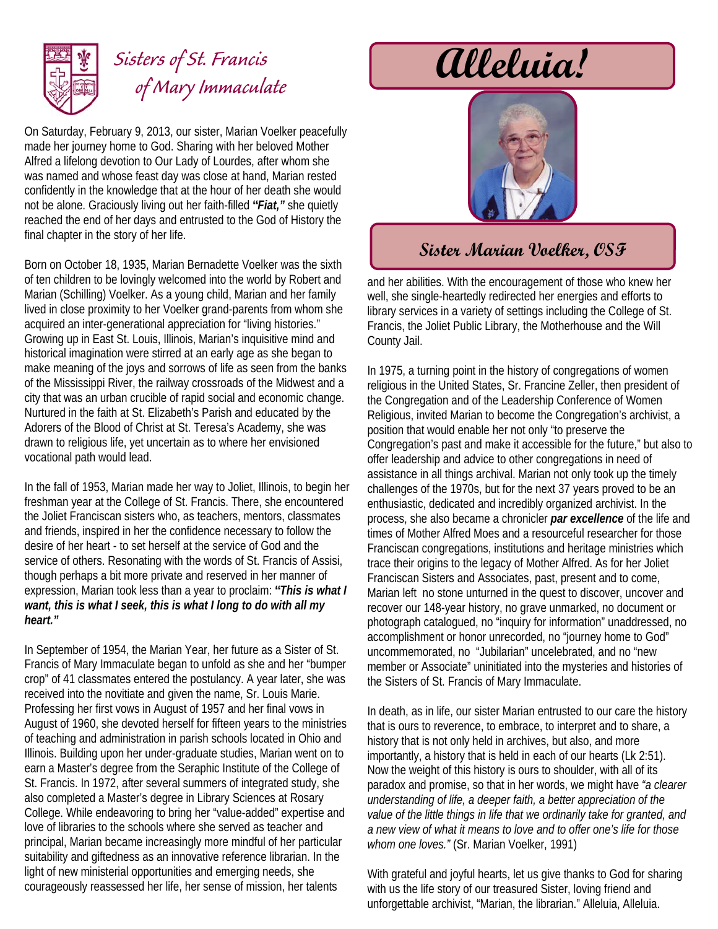

## **Alleluia!** *Sisters of St. Francis of Mary Immaculate*

On Saturday, February 9, 2013, our sister, Marian Voelker peacefully made her journey home to God. Sharing with her beloved Mother Alfred a lifelong devotion to Our Lady of Lourdes, after whom she was named and whose feast day was close at hand, Marian rested confidently in the knowledge that at the hour of her death she would not be alone. Graciously living out her faith-filled **"***Fiat,"* she quietly reached the end of her days and entrusted to the God of History the final chapter in the story of her life.

Born on October 18, 1935, Marian Bernadette Voelker was the sixth of ten children to be lovingly welcomed into the world by Robert and Marian (Schilling) Voelker. As a young child, Marian and her family lived in close proximity to her Voelker grand-parents from whom she acquired an inter-generational appreciation for "living histories." Growing up in East St. Louis, Illinois, Marian's inquisitive mind and historical imagination were stirred at an early age as she began to make meaning of the joys and sorrows of life as seen from the banks of the Mississippi River, the railway crossroads of the Midwest and a city that was an urban crucible of rapid social and economic change. Nurtured in the faith at St. Elizabeth's Parish and educated by the Adorers of the Blood of Christ at St. Teresa's Academy, she was drawn to religious life, yet uncertain as to where her envisioned vocational path would lead.

In the fall of 1953, Marian made her way to Joliet, Illinois, to begin her freshman year at the College of St. Francis. There, she encountered the Joliet Franciscan sisters who, as teachers, mentors, classmates and friends, inspired in her the confidence necessary to follow the desire of her heart - to set herself at the service of God and the service of others. Resonating with the words of St. Francis of Assisi, though perhaps a bit more private and reserved in her manner of expression, Marian took less than a year to proclaim: **"***This is what I want, this is what I seek, this is what I long to do with all my heart."*

In September of 1954, the Marian Year, her future as a Sister of St. Francis of Mary Immaculate began to unfold as she and her "bumper crop" of 41 classmates entered the postulancy. A year later, she was received into the novitiate and given the name, Sr. Louis Marie. Professing her first vows in August of 1957 and her final vows in August of 1960, she devoted herself for fifteen years to the ministries of teaching and administration in parish schools located in Ohio and Illinois. Building upon her under-graduate studies, Marian went on to earn a Master's degree from the Seraphic Institute of the College of St. Francis. In 1972, after several summers of integrated study, she also completed a Master's degree in Library Sciences at Rosary College. While endeavoring to bring her "value-added" expertise and love of libraries to the schools where she served as teacher and principal, Marian became increasingly more mindful of her particular suitability and giftedness as an innovative reference librarian. In the light of new ministerial opportunities and emerging needs, she courageously reassessed her life, her sense of mission, her talents



## **Sister Marian Voelker, OSF**

and her abilities. With the encouragement of those who knew her well, she single-heartedly redirected her energies and efforts to library services in a variety of settings including the College of St. Francis, the Joliet Public Library, the Motherhouse and the Will County Jail.

In 1975, a turning point in the history of congregations of women religious in the United States, Sr. Francine Zeller, then president of the Congregation and of the Leadership Conference of Women Religious, invited Marian to become the Congregation's archivist, a position that would enable her not only "to preserve the Congregation's past and make it accessible for the future," but also to offer leadership and advice to other congregations in need of assistance in all things archival. Marian not only took up the timely challenges of the 1970s, but for the next 37 years proved to be an enthusiastic, dedicated and incredibly organized archivist. In the process, she also became a chronicler *par excellence* of the life and times of Mother Alfred Moes and a resourceful researcher for those Franciscan congregations, institutions and heritage ministries which trace their origins to the legacy of Mother Alfred. As for her Joliet Franciscan Sisters and Associates, past, present and to come, Marian left no stone unturned in the quest to discover, uncover and recover our 148-year history, no grave unmarked, no document or photograph catalogued, no "inquiry for information" unaddressed, no accomplishment or honor unrecorded, no "journey home to God" uncommemorated, no "Jubilarian" uncelebrated, and no "new member or Associate" uninitiated into the mysteries and histories of the Sisters of St. Francis of Mary Immaculate.

In death, as in life, our sister Marian entrusted to our care the history that is ours to reverence, to embrace, to interpret and to share, a history that is not only held in archives, but also, and more importantly, a history that is held in each of our hearts (Lk 2:51). Now the weight of this history is ours to shoulder, with all of its paradox and promise, so that in her words, we might have *"a clearer understanding of life, a deeper faith, a better appreciation of the value of the little things in life that we ordinarily take for granted, and a new view of what it means to love and to offer one's life for those whom one loves."* (Sr. Marian Voelker, 1991)

With grateful and joyful hearts, let us give thanks to God for sharing with us the life story of our treasured Sister, loving friend and unforgettable archivist, "Marian, the librarian." Alleluia, Alleluia.